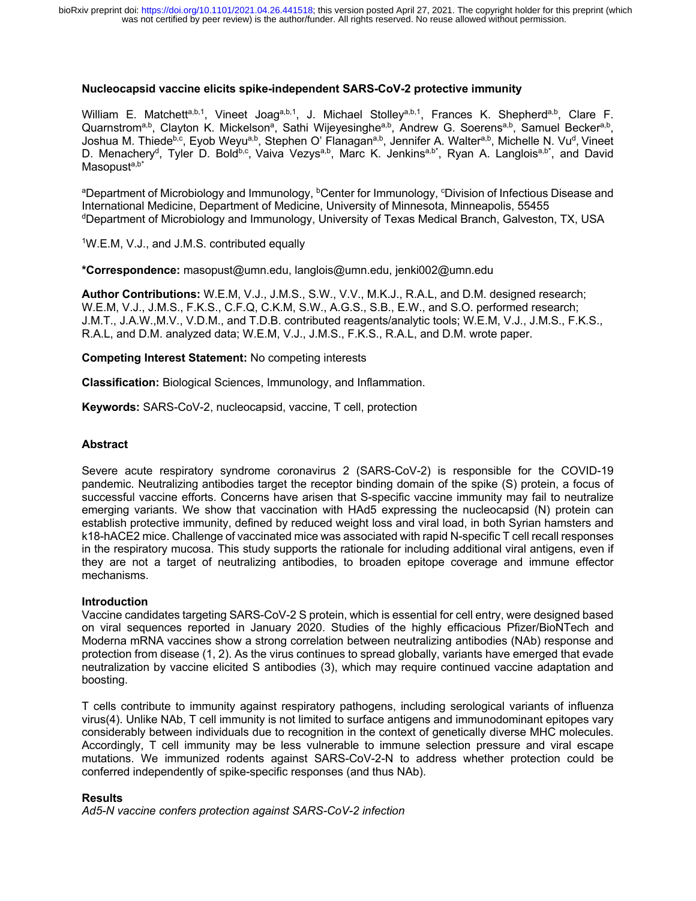### **Nucleocapsid vaccine elicits spike-independent SARS-CoV-2 protective immunity**

William E. Matchetta,b,1, Vineet Joaga,b,1, J. Michael Stolleya,b,1, Frances K. Shepherda,b, Clare F. Quarnstrom<sup>a,b</sup>, Clayton K. Mickelson<sup>a</sup>, Sathi Wijeyesinghe<sup>a,b</sup>, Andrew G. Soerens<sup>a,b</sup>, Samuel Becker<sup>a,b</sup>, Joshua M. Thiede<sup>b,c</sup>, Eyob Weyu<sup>a,b</sup>, Stephen O' Flanagan<sup>a,b</sup>, Jennifer A. Walter<sup>a,b</sup>, Michelle N. Vu<sup>d</sup>, Vineet D. Menachery<sup>d</sup>, Tyler D. Bold<sup>b,c</sup>, Vaiva Vezys<sup>a,b</sup>, Marc K. Jenkins<sup>a,b\*</sup>, Ryan A. Langlois<sup>a,b\*</sup>, and David Masopusta,b\*

aDepartment of Microbiology and Immunology, <sup>b</sup>Center for Immunology, °Division of Infectious Disease and International Medicine, Department of Medicine, University of Minnesota, Minneapolis, 55455 dDepartment of Microbiology and Immunology, University of Texas Medical Branch, Galveston, TX, USA

1W.E.M, V.J., and J.M.S. contributed equally

**\*Correspondence:** masopust@umn.edu, langlois@umn.edu, jenki002@umn.edu

**Author Contributions:** W.E.M, V.J., J.M.S., S.W., V.V., M.K.J., R.A.L, and D.M. designed research; W.E.M, V.J., J.M.S., F.K.S., C.F.Q, C.K.M, S.W., A.G.S., S.B., E.W., and S.O. performed research; J.M.T., J.A.W.,M.V., V.D.M., and T.D.B. contributed reagents/analytic tools; W.E.M, V.J., J.M.S., F.K.S., R.A.L, and D.M. analyzed data; W.E.M, V.J., J.M.S., F.K.S., R.A.L, and D.M. wrote paper.

**Competing Interest Statement:** No competing interests

**Classification:** Biological Sciences, Immunology, and Inflammation.

**Keywords:** SARS-CoV-2, nucleocapsid, vaccine, T cell, protection

## **Abstract**

Severe acute respiratory syndrome coronavirus 2 (SARS-CoV-2) is responsible for the COVID-19 pandemic. Neutralizing antibodies target the receptor binding domain of the spike (S) protein, a focus of successful vaccine efforts. Concerns have arisen that S-specific vaccine immunity may fail to neutralize emerging variants. We show that vaccination with HAd5 expressing the nucleocapsid (N) protein can establish protective immunity, defined by reduced weight loss and viral load, in both Syrian hamsters and k18-hACE2 mice. Challenge of vaccinated mice was associated with rapid N-specific T cell recall responses in the respiratory mucosa. This study supports the rationale for including additional viral antigens, even if they are not a target of neutralizing antibodies, to broaden epitope coverage and immune effector mechanisms.

### **Introduction**

Vaccine candidates targeting SARS-CoV-2 S protein, which is essential for cell entry, were designed based on viral sequences reported in January 2020. Studies of the highly efficacious Pfizer/BioNTech and Moderna mRNA vaccines show a strong correlation between neutralizing antibodies (NAb) response and protection from disease (1, 2). As the virus continues to spread globally, variants have emerged that evade neutralization by vaccine elicited S antibodies (3), which may require continued vaccine adaptation and boosting.

T cells contribute to immunity against respiratory pathogens, including serological variants of influenza virus(4). Unlike NAb, T cell immunity is not limited to surface antigens and immunodominant epitopes vary considerably between individuals due to recognition in the context of genetically diverse MHC molecules. Accordingly, T cell immunity may be less vulnerable to immune selection pressure and viral escape mutations. We immunized rodents against SARS-CoV-2-N to address whether protection could be conferred independently of spike-specific responses (and thus NAb).

# **Results**

*Ad5-N vaccine confers protection against SARS-CoV-2 infection*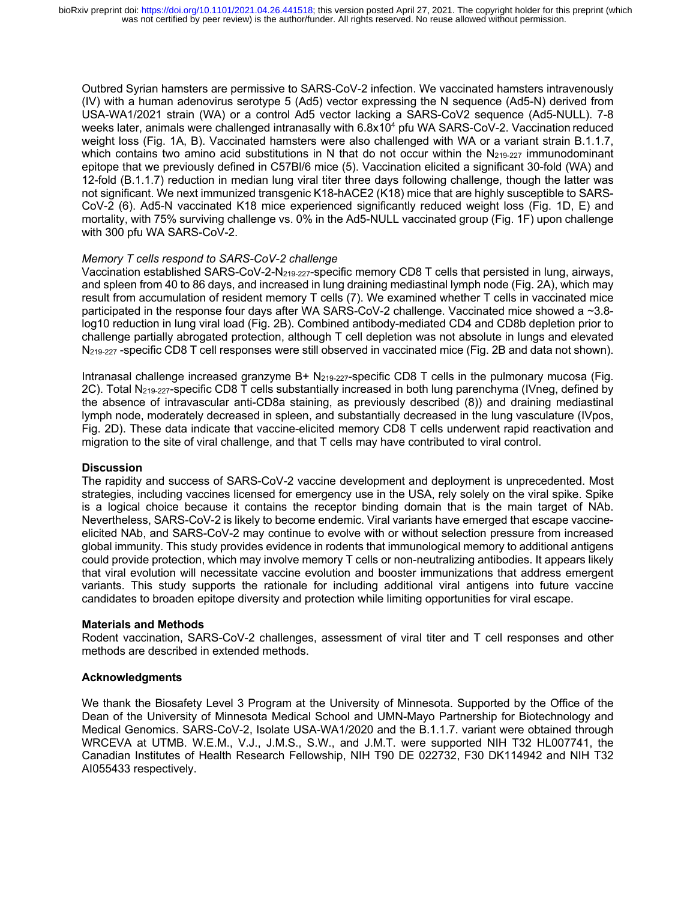Outbred Syrian hamsters are permissive to SARS-CoV-2 infection. We vaccinated hamsters intravenously (IV) with a human adenovirus serotype 5 (Ad5) vector expressing the N sequence (Ad5-N) derived from USA-WA1/2021 strain (WA) or a control Ad5 vector lacking a SARS-CoV2 sequence (Ad5-NULL). 7-8 weeks later, animals were challenged intranasally with 6.8x10<sup>4</sup> pfu WA SARS-CoV-2. Vaccination reduced weight loss (Fig. 1A, B). Vaccinated hamsters were also challenged with WA or a variant strain B.1.1.7, which contains two amino acid substitutions in N that do not occur within the  $N_{219-227}$  immunodominant epitope that we previously defined in C57Bl/6 mice (5). Vaccination elicited a significant 30-fold (WA) and 12-fold (B.1.1.7) reduction in median lung viral titer three days following challenge, though the latter was not significant. We next immunized transgenic K18-hACE2 (K18) mice that are highly susceptible to SARS-CoV-2 (6). Ad5-N vaccinated K18 mice experienced significantly reduced weight loss (Fig. 1D, E) and mortality, with 75% surviving challenge vs. 0% in the Ad5-NULL vaccinated group (Fig. 1F) upon challenge with 300 pfu WA SARS-CoV-2.

### *Memory T cells respond to SARS-CoV-2 challenge*

Vaccination established SARS-CoV-2-N219-227-specific memory CD8 T cells that persisted in lung, airways, and spleen from 40 to 86 days, and increased in lung draining mediastinal lymph node (Fig. 2A), which may result from accumulation of resident memory T cells (7). We examined whether T cells in vaccinated mice participated in the response four days after WA SARS-CoV-2 challenge. Vaccinated mice showed a ~3.8 log10 reduction in lung viral load (Fig. 2B). Combined antibody-mediated CD4 and CD8b depletion prior to challenge partially abrogated protection, although T cell depletion was not absolute in lungs and elevated N219-227 -specific CD8 T cell responses were still observed in vaccinated mice (Fig. 2B and data not shown).

Intranasal challenge increased granzyme B+ N219-227-specific CD8 T cells in the pulmonary mucosa (Fig. 2C). Total N219-227-specific CD8 T cells substantially increased in both lung parenchyma (IVneg, defined by the absence of intravascular anti-CD8a staining, as previously described (8)) and draining mediastinal lymph node, moderately decreased in spleen, and substantially decreased in the lung vasculature (IVpos, Fig. 2D). These data indicate that vaccine-elicited memory CD8 T cells underwent rapid reactivation and migration to the site of viral challenge, and that T cells may have contributed to viral control.

### **Discussion**

The rapidity and success of SARS-CoV-2 vaccine development and deployment is unprecedented. Most strategies, including vaccines licensed for emergency use in the USA, rely solely on the viral spike. Spike is a logical choice because it contains the receptor binding domain that is the main target of NAb. Nevertheless, SARS-CoV-2 is likely to become endemic. Viral variants have emerged that escape vaccineelicited NAb, and SARS-CoV-2 may continue to evolve with or without selection pressure from increased global immunity. This study provides evidence in rodents that immunological memory to additional antigens could provide protection, which may involve memory T cells or non-neutralizing antibodies. It appears likely that viral evolution will necessitate vaccine evolution and booster immunizations that address emergent variants. This study supports the rationale for including additional viral antigens into future vaccine candidates to broaden epitope diversity and protection while limiting opportunities for viral escape.

### **Materials and Methods**

Rodent vaccination, SARS-CoV-2 challenges, assessment of viral titer and T cell responses and other methods are described in extended methods.

# **Acknowledgments**

We thank the Biosafety Level 3 Program at the University of Minnesota. Supported by the Office of the Dean of the University of Minnesota Medical School and UMN-Mayo Partnership for Biotechnology and Medical Genomics. SARS-CoV-2, Isolate USA-WA1/2020 and the B.1.1.7. variant were obtained through WRCEVA at UTMB. W.E.M., V.J., J.M.S., S.W., and J.M.T. were supported NIH T32 HL007741, the Canadian Institutes of Health Research Fellowship, NIH T90 DE 022732, F30 DK114942 and NIH T32 AI055433 respectively.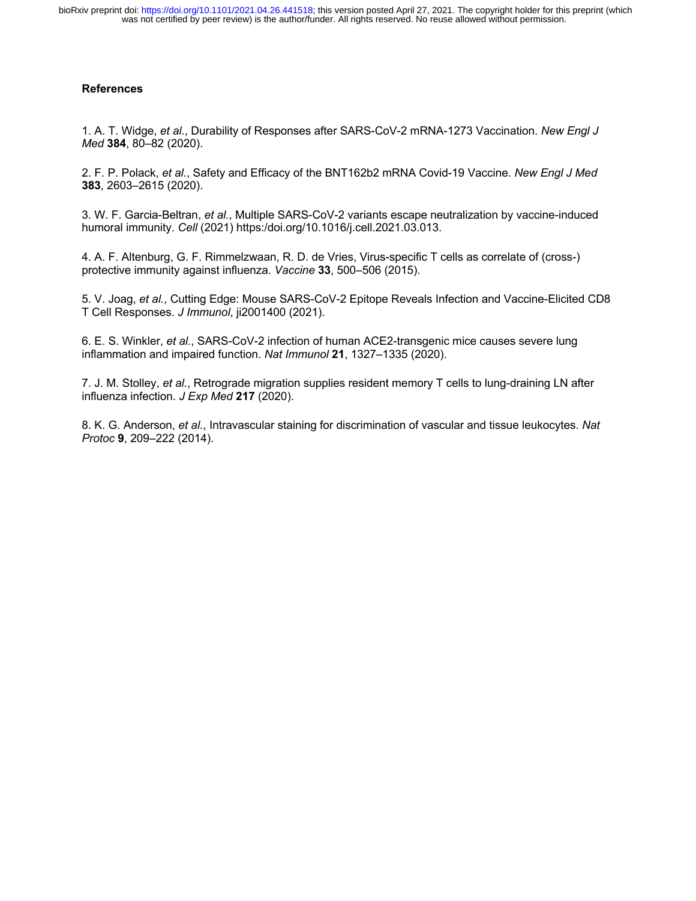# **References**

1. A. T. Widge, *et al.*, Durability of Responses after SARS-CoV-2 mRNA-1273 Vaccination. *New Engl J Med* **384**, 80–82 (2020).

2. F. P. Polack, *et al.*, Safety and Efficacy of the BNT162b2 mRNA Covid-19 Vaccine. *New Engl J Med* **383**, 2603–2615 (2020).

3. W. F. Garcia-Beltran, *et al.*, Multiple SARS-CoV-2 variants escape neutralization by vaccine-induced humoral immunity. *Cell* (2021) https:/doi.org/10.1016/j.cell.2021.03.013.

4. A. F. Altenburg, G. F. Rimmelzwaan, R. D. de Vries, Virus-specific T cells as correlate of (cross-) protective immunity against influenza. *Vaccine* **33**, 500–506 (2015).

5. V. Joag, *et al.*, Cutting Edge: Mouse SARS-CoV-2 Epitope Reveals Infection and Vaccine-Elicited CD8 T Cell Responses. *J Immunol*, ji2001400 (2021).

6. E. S. Winkler, *et al.*, SARS-CoV-2 infection of human ACE2-transgenic mice causes severe lung inflammation and impaired function. *Nat Immunol* **21**, 1327–1335 (2020).

7. J. M. Stolley, *et al.*, Retrograde migration supplies resident memory T cells to lung-draining LN after influenza infection. *J Exp Med* **217** (2020).

8. K. G. Anderson, *et al.*, Intravascular staining for discrimination of vascular and tissue leukocytes. *Nat Protoc* **9**, 209–222 (2014).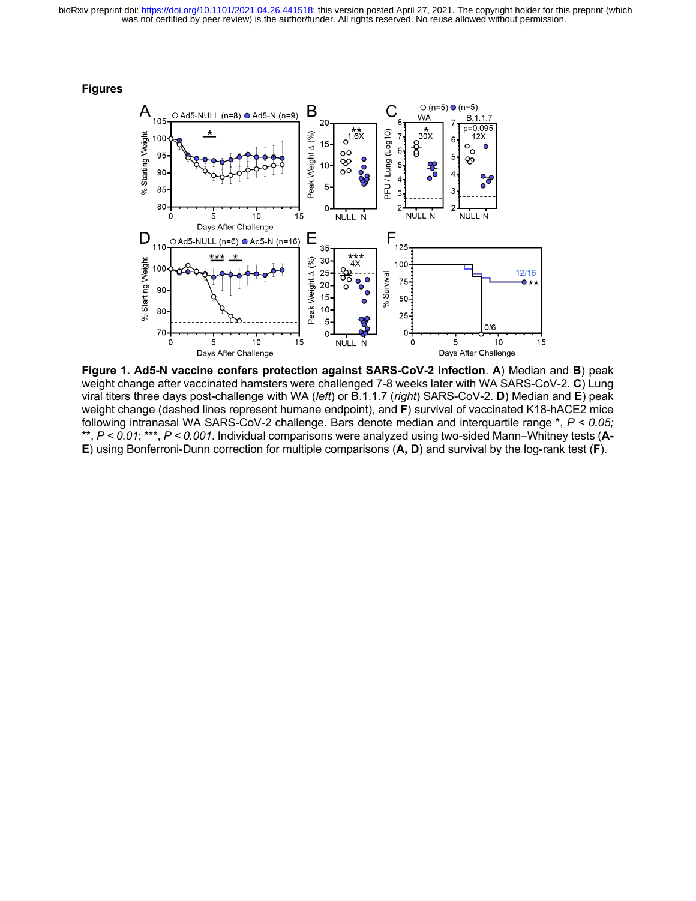was not certified by peer review) is the author/funder. All rights reserved. No reuse allowed without permission. bioRxiv preprint doi: [https://doi.org/10.1101/2021.04.26.441518;](https://doi.org/10.1101/2021.04.26.441518) this version posted April 27, 2021. The copyright holder for this preprint (which





**Figure 1. Ad5-N vaccine confers protection against SARS-CoV-2 infection**. **A**) Median and **B**) peak weight change after vaccinated hamsters were challenged 7-8 weeks later with WA SARS-CoV-2. **C**) Lung viral titers three days post-challenge with WA (*left*) or B.1.1.7 (*right*) SARS-CoV-2. **D**) Median and **E**) peak weight change (dashed lines represent humane endpoint), and **F**) survival of vaccinated K18-hACE2 mice following intranasal WA SARS-CoV-2 challenge. Bars denote median and interquartile range \*, *P < 0.05;*  \*\*, *P < 0.01*; \*\*\*, *P < 0.001*. Individual comparisons were analyzed using two-sided Mann–Whitney tests (**A-E**) using Bonferroni-Dunn correction for multiple comparisons (**A, D**) and survival by the log-rank test (**F**).